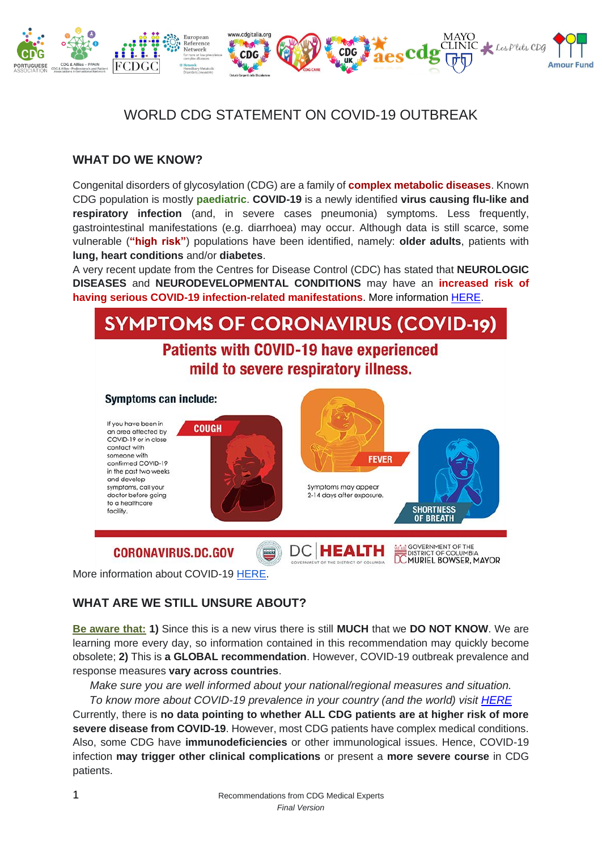

# WORLD CDG STATEMENT ON COVID-19 OUTBREAK

### **WHAT DO WE KNOW?**

Congenital disorders of glycosylation (CDG) are a family of **complex metabolic diseases**. Known CDG population is mostly **paediatric**. **COVID-19** is a newly identified **virus causing flu-like and respiratory infection** (and, in severe cases pneumonia) symptoms. Less frequently, gastrointestinal manifestations (e.g. diarrhoea) may occur. Although data is still scarce, some vulnerable (**"high risk"**) populations have been identified, namely: **older adults**, patients with **lung, heart conditions** and/or **diabetes**.

A very recent update from the Centres for Disease Control (CDC) has stated that **NEUROLOGIC DISEASES** and **NEURODEVELOPMENTAL CONDITIONS** may have an **increased risk of having serious COVID-19 infection-related manifestations**. More information [HERE.](https://www.cdc.gov/coronavirus/2019-ncov/downloads/community-mitigation-strategy.pdf)



More information about COVID-19 [HERE.](https://www.youtube.com/watch?time_continue=7&v=mOV1aBVYKGA&feature=emb_title)

## **WHAT ARE WE STILL UNSURE ABOUT?**

**Be aware that: 1)** Since this is a new virus there is still **MUCH** that we **DO NOT KNOW**. We are learning more every day, so information contained in this recommendation may quickly become obsolete; **2)** This is **a GLOBAL recommendation**. However, COVID-19 outbreak prevalence and response measures **vary across countries**.

*Make sure you are well informed about your national/regional measures and situation.*

*To know more about COVID-19 prevalence in your country (and the world) visit [HERE](https://www.worldometers.info/coronavirus/)*

Currently, there is **no data pointing to whether ALL CDG patients are at higher risk of more severe disease from COVID-19**. However, most CDG patients have complex medical conditions. Also, some CDG have **immunodeficiencies** or other immunological issues. Hence, COVID-19 infection **may trigger other clinical complications** or present a **more severe course** in CDG patients.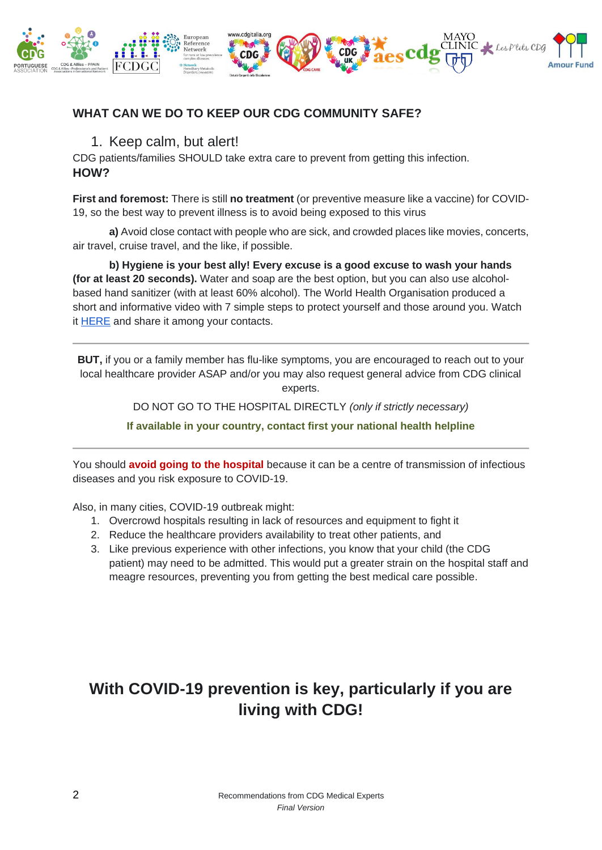

## **WHAT CAN WE DO TO KEEP OUR CDG COMMUNITY SAFE?**

## 1. Keep calm, but alert!

CDG patients/families SHOULD take extra care to prevent from getting this infection. **HOW?**

**First and foremost:** There is still **no treatment** (or preventive measure like a vaccine) for COVID-19, so the best way to prevent illness is to avoid being exposed to this virus

**a)** Avoid close contact with people who are sick, and crowded places like movies, concerts, air travel, cruise travel, and the like, if possible.

**b) Hygiene is your best ally! Every excuse is a good excuse to wash your hands (for at least 20 seconds).** Water and soap are the best option, but you can also use alcoholbased hand sanitizer (with at least 60% alcohol). The World Health Organisation produced a short and informative video with 7 simple steps to protect yourself and those around you. Watch it [HERE](https://www.youtube.com/watch?v=xjxen7r1R_g) and share it among your contacts.

**BUT,** if you or a family member has flu-like symptoms, you are encouraged to reach out to your local healthcare provider ASAP and/or you may also request general advice from CDG clinical experts.

DO NOT GO TO THE HOSPITAL DIRECTLY *(only if strictly necessary)*

**If available in your country, contact first your national health helpline**

You should **avoid going to the hospital** because it can be a centre of transmission of infectious diseases and you risk exposure to COVID-19.

Also, in many cities, COVID-19 outbreak might:

- 1. Overcrowd hospitals resulting in lack of resources and equipment to fight it
- 2. Reduce the healthcare providers availability to treat other patients, and
- 3. Like previous experience with other infections, you know that your child (the CDG patient) may need to be admitted. This would put a greater strain on the hospital staff and meagre resources, preventing you from getting the best medical care possible.

# **With COVID-19 prevention is key, particularly if you are living with CDG!**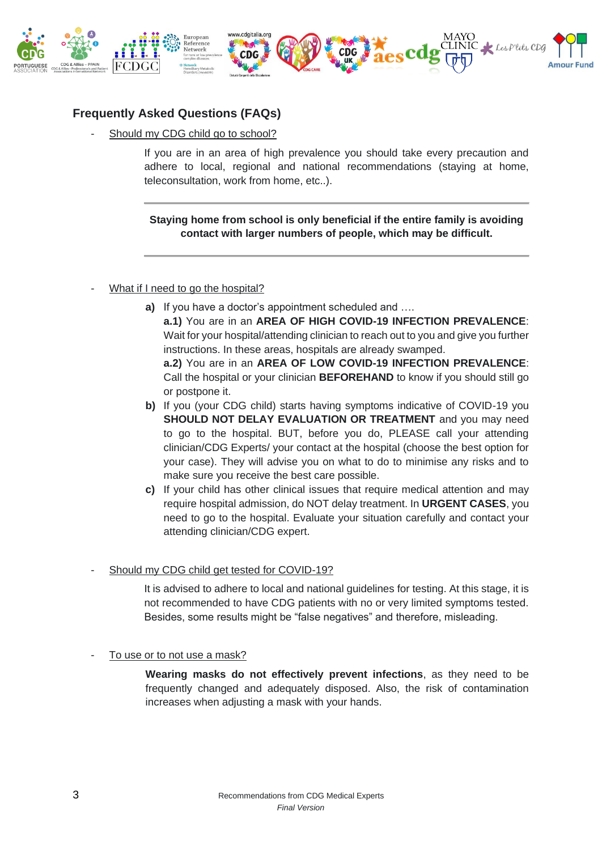

## **Frequently Asked Questions (FAQs)**

Should my CDG child go to school?

If you are in an area of high prevalence you should take every precaution and adhere to local, regional and national recommendations (staying at home, teleconsultation, work from home, etc..).

**Staying home from school is only beneficial if the entire family is avoiding contact with larger numbers of people, which may be difficult.**

#### What if I need to go the hospital?

- **a)** If you have a doctor's appointment scheduled and …. **a.1)** You are in an **AREA OF HIGH COVID-19 INFECTION PREVALENCE**: Wait for your hospital/attending clinician to reach out to you and give you further instructions. In these areas, hospitals are already swamped. **a.2)** You are in an **AREA OF LOW COVID-19 INFECTION PREVALENCE**: Call the hospital or your clinician **BEFOREHAND** to know if you should still go or postpone it.
- **b)** If you (your CDG child) starts having symptoms indicative of COVID-19 you **SHOULD NOT DELAY EVALUATION OR TREATMENT** and you may need to go to the hospital. BUT, before you do, PLEASE call your attending clinician/CDG Experts/ your contact at the hospital (choose the best option for your case). They will advise you on what to do to minimise any risks and to make sure you receive the best care possible.
- **c)** If your child has other clinical issues that require medical attention and may require hospital admission, do NOT delay treatment. In **URGENT CASES**, you need to go to the hospital. Evaluate your situation carefully and contact your attending clinician/CDG expert.

#### Should my CDG child get tested for COVID-19?

It is advised to adhere to local and national guidelines for testing. At this stage, it is not recommended to have CDG patients with no or very limited symptoms tested. Besides, some results might be "false negatives" and therefore, misleading.

To use or to not use a mask?

**Wearing masks do not effectively prevent infections**, as they need to be frequently changed and adequately disposed. Also, the risk of contamination increases when adjusting a mask with your hands.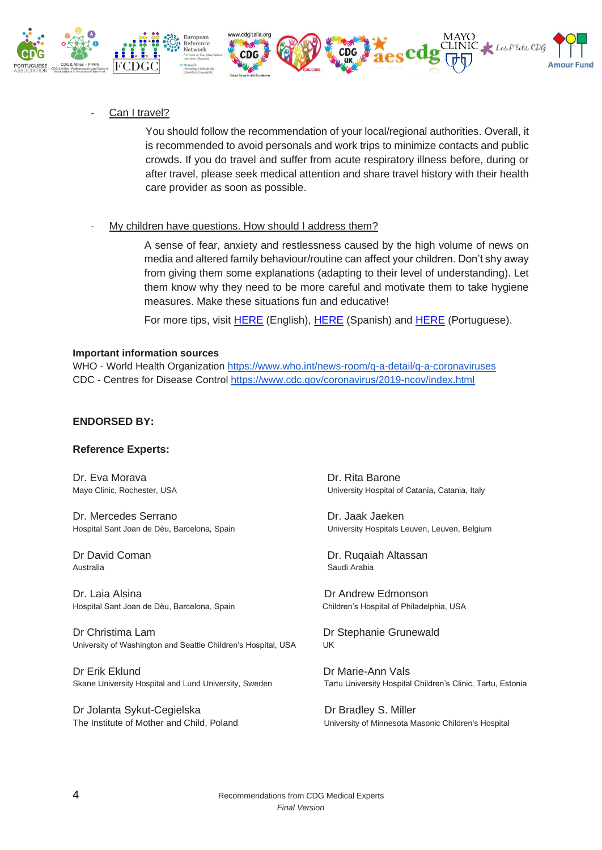

Can I travel?

You should follow the recommendation of your local/regional authorities. Overall, it is recommended to avoid personals and work trips to minimize contacts and public crowds. If you do travel and suffer from acute respiratory illness before, during or after travel, please seek medical attention and share travel history with their health care provider as soon as possible.

My children have questions. How should I address them?

A sense of fear, anxiety and restlessness caused by the high volume of news on media and altered family behaviour/routine can affect your children. Don't shy away from giving them some explanations (adapting to their level of understanding). Let them know why they need to be more careful and motivate them to take hygiene measures. Make these situations fun and educative!

For more tips, visit [HERE](https://kidshealth.org/en/parents/coronavirus-how-talk-child.html) (English), [HERE](https://faros.hsjdbcn.org/es/articulo/como-hablar-sobre-coronavirus-ninos) (Spanish) and [HERE](https://observador.pt/especiais/escolas-fechadas-e-coronavirus-o-que-devem-fazer-os-pais-que-direitos-tem-e-como-devem-falar-com-os-filhos/) (Portuguese).

#### **Important information sources**

WHO - World Health Organization<https://www.who.int/news-room/q-a-detail/q-a-coronaviruses> CDC - Centres for Disease Control<https://www.cdc.gov/coronavirus/2019-ncov/index.html>

#### **ENDORSED BY:**

#### **Reference Experts:**

Dr. Eva Morava **Dr. Eva Morava** Dr. Rita Barone

Dr. Mercedes Serrano Dr. Jaak Jaeken Hospital Sant Joan de Dèu, Barcelona, Spain University Hospitals Leuven, Leuven, Belgium

Australia **Nationalism and Arabia** Saudi Arabia

Dr. Laia Alsina Dr Andrew Edmonson Hospital Sant Joan de Dèu, Barcelona, Spain Children's Hospital of Philadelphia, USA

Dr Christima Lam Dr Stephanie Grunewald University of Washington and Seattle Children's Hospital, USA UK

Dr Erik Eklund Dr Marie-Ann Vals

Dr Jolanta Sykut-Cegielska Dr Bradley S. Miller

Mayo Clinic, Rochester, USA 
University Hospital of Catania, Catania, Italy

Dr David Coman Dr. Ruqaiah Altassan

Skane University Hospital and Lund University, Sweden Tartu University Hospital Children's Clinic, Tartu, Estonia

The Institute of Mother and Child, Poland University of Minnesota Masonic Children's Hospital